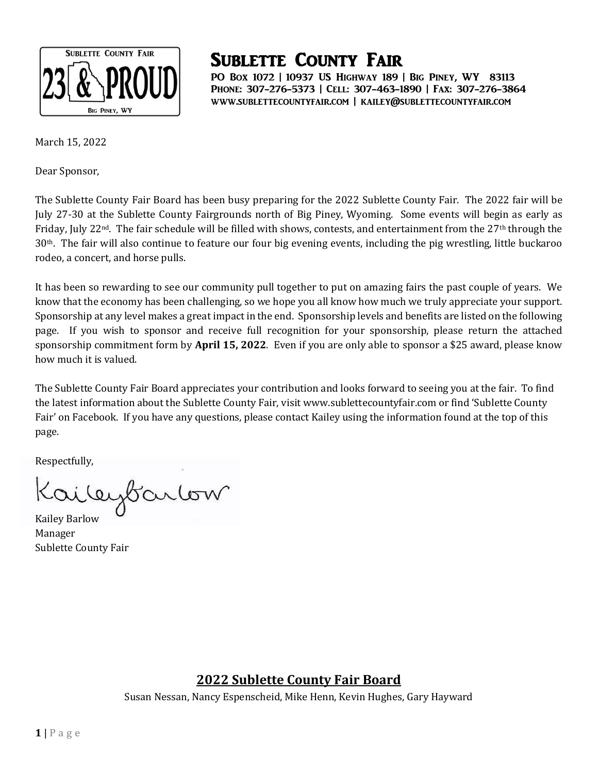

PO Box 1072 | 10937 US Highway 189 | Big Piney, WY 83113 Phone: 307-276-5373 | Cell: 307-463-1890 | Fax: 307-276-3864 www.sublettecountyfair.com | kailey@sublettecountyfair.com

March 15, 2022

Dear Sponsor,

The Sublette County Fair Board has been busy preparing for the 2022 Sublette County Fair. The 2022 fair will be July 27-30 at the Sublette County Fairgrounds north of Big Piney, Wyoming. Some events will begin as early as Friday, July 22<sup>nd</sup>. The fair schedule will be filled with shows, contests, and entertainment from the 27<sup>th</sup> through the 30th. The fair will also continue to feature our four big evening events, including the pig wrestling, little buckaroo rodeo, a concert, and horse pulls.

It has been so rewarding to see our community pull together to put on amazing fairs the past couple of years. We know that the economy has been challenging, so we hope you all know how much we truly appreciate your support. Sponsorship at any level makes a great impact in the end. Sponsorship levels and benefits are listed on the following page. If you wish to sponsor and receive full recognition for your sponsorship, please return the attached sponsorship commitment form by **April 15, 2022**. Even if you are only able to sponsor a \$25 award, please know how much it is valued.

The Sublette County Fair Board appreciates your contribution and looks forward to seeing you at the fair. To find the latest information about the Sublette County Fair, visit www.sublettecountyfair.com or find 'Sublette County Fair' on Facebook. If you have any questions, please contact Kailey using the information found at the top of this page.

Respectfully,

ileybarlow

Kailey Barlow Manager Sublette County Fair

#### **2022 Sublette County Fair Board**

Susan Nessan, Nancy Espenscheid, Mike Henn, Kevin Hughes, Gary Hayward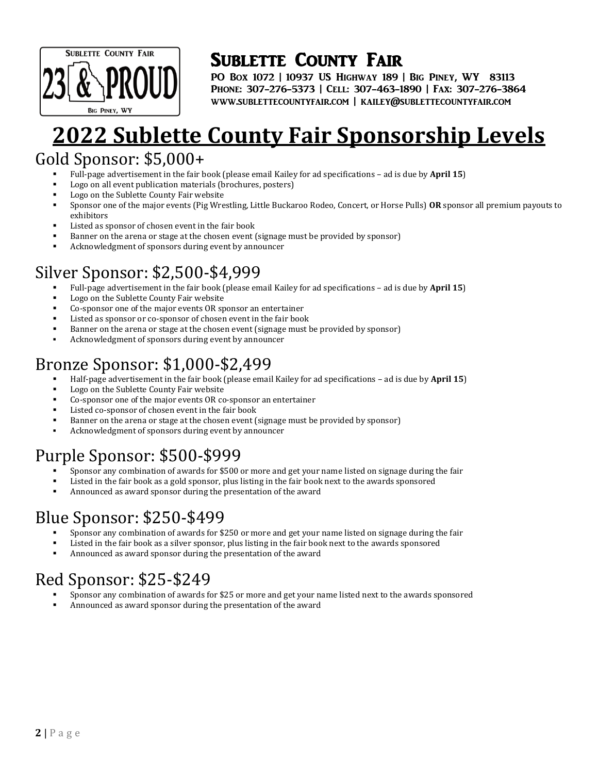

PO Box 1072 | 10937 US Highway 189 | Big Piney, WY 83113 Phone: 307-276-5373 | Cell: 307-463-1890 | Fax: 307-276-3864 www.sublettecountyfair.com | kailey@sublettecountyfair.com

# **22 Sublette County Fair Sponsorship Levels**

### Gold Sponsor: \$5,000+

- Full-page advertisement in the fair book (please email Kailey for ad specifications ad is due by **April 15**)
- Logo on all event publication materials (brochures, posters)
- Logo on the Sublette County Fair website
- Sponsor one of the major events (Pig Wrestling, Little Buckaroo Rodeo, Concert, or Horse Pulls) **OR** sponsor all premium payouts to exhibitors
- Listed as sponsor of chosen event in the fair book
- Banner on the arena or stage at the chosen event (signage must be provided by sponsor)
- Acknowledgment of sponsors during event by announcer

## Silver Sponsor: \$2,500-\$4,999

- Full-page advertisement in the fair book (please email Kailey for ad specifications ad is due by **April 15**)
- Logo on the Sublette County Fair website
- Co-sponsor one of the major events OR sponsor an entertainer
- Listed as sponsor or co-sponsor of chosen event in the fair book
- Banner on the arena or stage at the chosen event (signage must be provided by sponsor)
- Acknowledgment of sponsors during event by announcer

## Bronze Sponsor: \$1,000-\$2,499

- Half-page advertisement in the fair book (please email Kailey for ad specifications ad is due by **April 15**)
- Logo on the Sublette County Fair website
- Co-sponsor one of the major events OR co-sponsor an entertainer
- Listed co-sponsor of chosen event in the fair book
- Banner on the arena or stage at the chosen event (signage must be provided by sponsor)
- Acknowledgment of sponsors during event by announcer

## Purple Sponsor: \$500-\$999

- Sponsor any combination of awards for \$500 or more and get your name listed on signage during the fair
- Listed in the fair book as a gold sponsor, plus listing in the fair book next to the awards sponsored
- Announced as award sponsor during the presentation of the award

## Blue Sponsor: \$250-\$499

- Sponsor any combination of awards for \$250 or more and get your name listed on signage during the fair
- Listed in the fair book as a silver sponsor, plus listing in the fair book next to the awards sponsored
- Announced as award sponsor during the presentation of the award

## Red Sponsor: \$25-\$249

- Sponsor any combination of awards for \$25 or more and get your name listed next to the awards sponsored
- Announced as award sponsor during the presentation of the award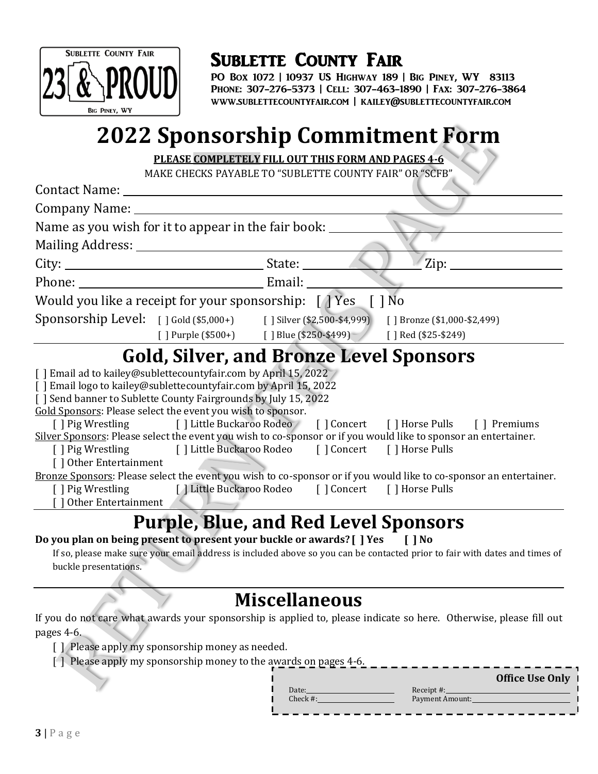

PO Box 1072 | 10937 US Highway 189 | Big Piney, WY 83113 Phone: 307-276-5373 | Cell: 307-463-1890 | Fax: 307-276-3864 www.sublettecountyfair.com | kailey@sublettecountyfair.com

# **2022 Sponsorship Commitment Form**

**PLEASE COMPLETELY FILL OUT THIS FORM AND PAGES 4-6**

MAKE CHECKS PAYABLE TO "SUBLETTE COUNTY FAIR" OR "SCFB"

| Contact Name: Name and South Art and South Art and South Art and South Art and South Art and South Art and South Art and South Art and Art and Art and Art and Art and Art and Art and Art and Art and Art and Art and Art and                                                                                             |                                                                                                                                            |                                                                                                                                                                                                                                                                                                                          |
|----------------------------------------------------------------------------------------------------------------------------------------------------------------------------------------------------------------------------------------------------------------------------------------------------------------------------|--------------------------------------------------------------------------------------------------------------------------------------------|--------------------------------------------------------------------------------------------------------------------------------------------------------------------------------------------------------------------------------------------------------------------------------------------------------------------------|
|                                                                                                                                                                                                                                                                                                                            |                                                                                                                                            |                                                                                                                                                                                                                                                                                                                          |
| Name as you wish for it to appear in the fair book:                                                                                                                                                                                                                                                                        |                                                                                                                                            |                                                                                                                                                                                                                                                                                                                          |
|                                                                                                                                                                                                                                                                                                                            |                                                                                                                                            |                                                                                                                                                                                                                                                                                                                          |
|                                                                                                                                                                                                                                                                                                                            |                                                                                                                                            | $\mathrm{Zip: }$                                                                                                                                                                                                                                                                                                         |
|                                                                                                                                                                                                                                                                                                                            |                                                                                                                                            |                                                                                                                                                                                                                                                                                                                          |
|                                                                                                                                                                                                                                                                                                                            | Would you like a receipt for your sponsorship: $\lceil \cdot \rceil$ Yes $\lceil \cdot \rceil$ No                                          |                                                                                                                                                                                                                                                                                                                          |
|                                                                                                                                                                                                                                                                                                                            |                                                                                                                                            | Sponsorship Level: [ ] Gold (\$5,000+) [ ] Silver (\$2,500-\$4,999) [ ] Bronze (\$1,000-\$2,499)                                                                                                                                                                                                                         |
|                                                                                                                                                                                                                                                                                                                            | [] Purple (\$500+) [] Blue (\$250-\$499) [] Red (\$25-\$249)                                                                               |                                                                                                                                                                                                                                                                                                                          |
|                                                                                                                                                                                                                                                                                                                            | <b>Gold, Silver, and Bronze Level Sponsors</b>                                                                                             |                                                                                                                                                                                                                                                                                                                          |
| [ ] Email ad to kailey@sublettecountyfair.com by April 15, 2022<br>[ ] Email logo to kailey@sublettecountyfair.com by April 15, 2022<br>[ ] Send banner to Sublette County Fairgrounds by July 15, 2022<br>Gold Sponsors: Please select the event you wish to sponsor.<br>[] Other Entertainment<br>[] Other Entertainment | [] Pig Wrestling [] Little Buckaroo Rodeo [] Concert [] Horse Pulls<br>[] Pig Wrestling [] Little Buckaroo Rodeo [] Concert [] Horse Pulls | [] Pig Wrestling [] Little Buckaroo Rodeo [] Concert [] Horse Pulls [] Premiums<br>Silver Sponsors: Please select the event you wish to co-sponsor or if you would like to sponsor an entertainer.<br>Bronze Sponsors: Please select the event you wish to co-sponsor or if you would like to co-sponsor an entertainer. |
|                                                                                                                                                                                                                                                                                                                            |                                                                                                                                            |                                                                                                                                                                                                                                                                                                                          |
|                                                                                                                                                                                                                                                                                                                            | <b>Purple, Blue, and Red Level Sponsors</b>                                                                                                |                                                                                                                                                                                                                                                                                                                          |
|                                                                                                                                                                                                                                                                                                                            | Do you plan on being present to present your buckle or awards? [ ] Yes                                                                     | $\blacksquare$ $\blacksquare$                                                                                                                                                                                                                                                                                            |

If so, please make sure your email address is included above so you can be contacted prior to fair with dates and times of buckle presentations.

## **Miscellaneous**

If you do not care what awards your sponsorship is applied to, please indicate so here. Otherwise, please fill out pages 4-6.

- [ ] Please apply my sponsorship money as needed.
- $\left[ \begin{array}{c} \overline{1} \end{array} \right]$  Please apply my sponsorship money to the awards on pages 4-6.

|          |                 | Office Use Only 1 |
|----------|-----------------|-------------------|
| Date:    | Receipt #:      |                   |
| Check #: | Payment Amount: |                   |
|          |                 |                   |
|          |                 |                   |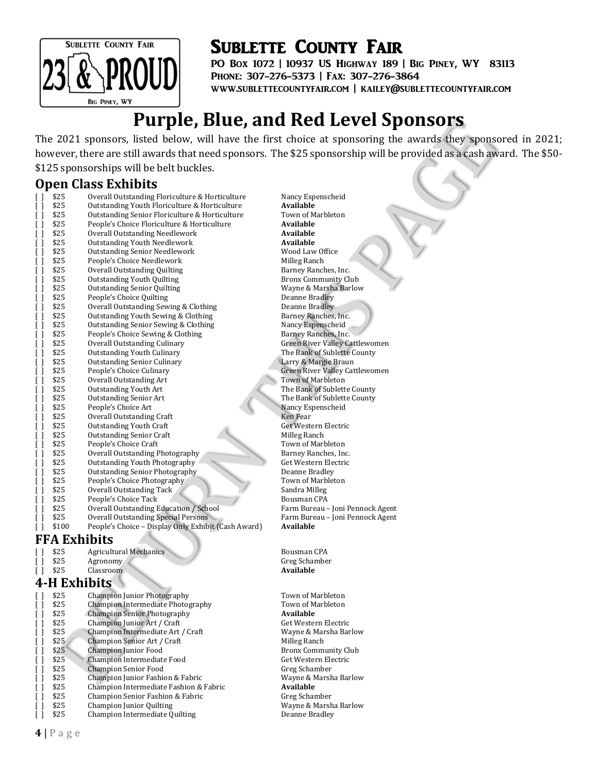

PO Box 1072 | 10937 US Highway 189 | Big Piney, WY 83113 Phone: 307-276-5373 | Fax: 307-276-3864 www.sublettecountyfair.com | kailey@sublettecountyfair.com

## **Purple, Blue, and Red Level Sponsors**

The 2021 sponsors, listed below, will have the first choice at sponsoring the awards they sponsored in 2021; however, there are still awards that need sponsors. The \$25 sponsorship will be provided as a cash award. The \$50- \$125 sponsorships will be belt buckles.

#### **Open Class Exhibits**

| []                 | \$25                | Overall Outstanding Floriculture & Horticulture     | Nancy Espenscheid                     |
|--------------------|---------------------|-----------------------------------------------------|---------------------------------------|
| $\Box$             | \$25                | Outstanding Youth Floriculture & Horticulture       | <b>Available</b>                      |
| $\Box$             | \$25                | Outstanding Senior Floriculture & Horticulture      | Town of Marbleton                     |
| $\Box$             | \$25                | People's Choice Floriculture & Horticulture         | Available                             |
| $\left[ \ \right]$ | \$25                | Overall Outstanding Needlework                      | Available                             |
| $\left[ \ \right]$ | \$25                | <b>Outstanding Youth Needlework</b>                 | Available                             |
| $\lceil$ 1         | \$25                | <b>Outstanding Senior Needlework</b>                | Wood Law Office                       |
| Ιl                 | \$25                | People's Choice Needlework                          | Milleg Ranch                          |
| Ιl                 | \$25                | Overall Outstanding Quilting                        | Barney Ranches, Inc.                  |
| I l                | \$25                | <b>Outstanding Youth Quilting</b>                   | <b>Bronx Community Club</b>           |
| $\Box$             | \$25                | <b>Outstanding Senior Quilting</b>                  | Wayne & Marsha Barlow                 |
| $\Box$             | \$25                | People's Choice Quilting                            | Deanne Bradley                        |
| $\left[ \ \right]$ | \$25                | Overall Outstanding Sewing & Clothing               | Deanne Bradley                        |
| $\left[ \ \right]$ | \$25                | Outstanding Youth Sewing & Clothing                 | Barney Ranches, Inc.                  |
| $\lceil$ $\rceil$  | \$25                | Outstanding Senior Sewing & Clothing                | Nancy Espenscheid                     |
| $\lceil$ 1         | \$25                | People's Choice Sewing & Clothing                   | Barney Ranches, Inc.                  |
| Ιl                 | \$25                | Overall Outstanding Culinary                        | <b>Green River Valley Cattlewomen</b> |
| $\lceil$ 1         | \$25                | <b>Outstanding Youth Culinary</b>                   | The Bank of Sublette County           |
| $\Box$             | \$25                | <b>Outstanding Senior Culinary</b>                  | Larry & Margie Braun                  |
| $\Box$             | \$25                | People's Choice Culinary                            | <b>Green River Valley Cattlewomen</b> |
| $\left[ \ \right]$ | \$25                | Overall Outstanding Art                             | <b>Town of Marbleton</b>              |
| $\left[ \ \right]$ | \$25                | Outstanding Youth Art                               | The Bank of Sublette County           |
| $\left[ \ \right]$ | \$25                | <b>Outstanding Senior Art</b>                       | The Bank of Sublette County           |
| I l                | \$25                | People's Choice Art                                 | Nancy Espenscheid                     |
| Ιl                 | \$25                | Overall Outstanding Craft                           | Ken Fear                              |
| I l                | \$25                | <b>Outstanding Youth Craft</b>                      | Get Western Electric                  |
| $\left[ \ \right]$ | \$25                | <b>Outstanding Senior Craft</b>                     | Milleg Ranch                          |
| $\Box$             | \$25                | People's Choice Craft                               | Town of Marbleton                     |
| $\left[ \ \right]$ | \$25                | Overall Outstanding Photography                     | Barney Ranches, Inc.                  |
| $\left[ \ \right]$ | \$25                | Outstanding Youth Photography                       | Get Western Electric                  |
| $\left[ \ \right]$ | \$25                | <b>Outstanding Senior Photography</b>               | Deanne Bradley                        |
| $\lceil$ $\rceil$  | \$25                | People's Choice Photography                         | Town of Marbleton                     |
| $\lceil$ 1         | \$25                | Overall Outstanding Tack                            | Sandra Milleg                         |
| Ιl                 | \$25                | People's Choice Tack                                | Bousman CPA                           |
| $\lceil$ 1         | \$25                | Overall Outstanding Education / School              | Farm Bureau - Joni Pennock Agent      |
| $\Box$             | \$25                | Overall Outstanding Special Persons                 | Farm Bureau - Joni Pennock Agent      |
| Γl                 | \$100               | People's Choice - Display Only Exhibit (Cash Award) | <b>Available</b>                      |
|                    | <b>FFA Exhibits</b> |                                                     |                                       |
| [ ]                | \$25                | <b>Agricultural Mechanics</b>                       | Bousman CPA                           |

|         | ১८১          | Agricultural Mechanics                 |
|---------|--------------|----------------------------------------|
|         | \$25         | Agronomy                               |
|         | \$25         | Classroom                              |
|         | 4-H Exhibits |                                        |
| $\perp$ | \$25         | Champion Junior Photography            |
| ΙI      | \$25         | Champion Intermediate Photography      |
| ΙI      | \$25         | <b>Champion Senior Photography</b>     |
| ΙI      | \$25         | Champion Junior Art / Craft            |
| ΙI      | \$25         | Champion Intermediate Art / Craft      |
| ΙI      | \$25         | Champion Senior Art / Craft            |
| ΙI      | \$25         | Champion Junior Food                   |
| ΙI      | \$25         | Champion Intermediate Food             |
| ΙI      | \$25         | Champion Senior Food                   |
| ΙI      | \$25         | Champion Junior Fashion & Fabric       |
| ΙI      | \$25         | Champion Intermediate Fashion & Fabric |
| ΙI      | \$25         | Champion Senior Fashion & Fabric       |
| Γl      | \$25         | <b>Champion Junior Quilting</b>        |
|         | \$25         | Champion Intermediate Quilting         |
|         |              |                                        |

Greg Schamber  $A$ vailable

Town of Marbleton Town of Marbleton  $A$ vailable Get Western Electric Wayne & Marsha Barlow Milleg Ranch Bronx Community Club Get Western Electric Greg Schamber Wayne & Marsha Barlow  $A$ vailable Greg Schamber Wayne & Marsha Barlow Deanne Bradley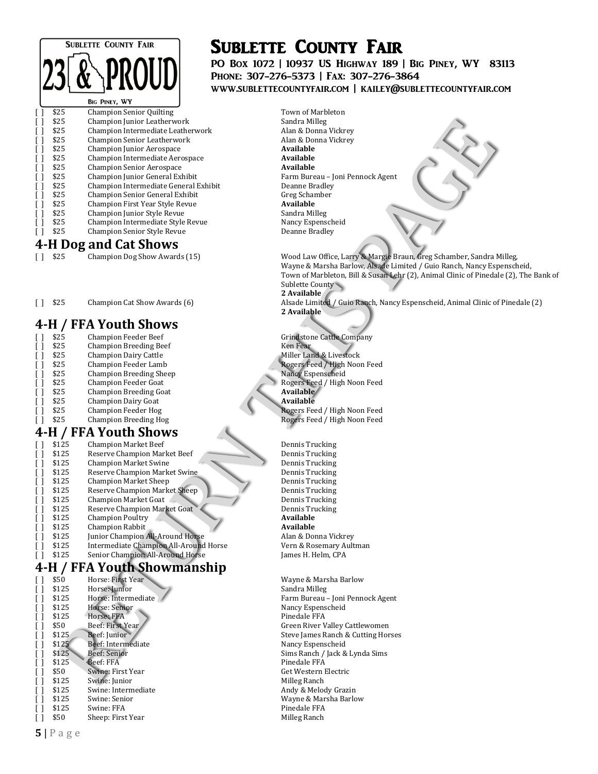

|              | \$25 | <b>Champion Senior Quilting</b>     |
|--------------|------|-------------------------------------|
| [ ]          | \$25 | Champion Junior Leatherwork         |
| $\mathsf{L}$ | \$25 | Champion Intermediate Leatherwork   |
| [ ]          | \$25 | <b>Champion Senior Leatherwork</b>  |
| [ ]          | \$25 | Champion Junior Aerospace           |
| $\mathsf{L}$ | \$25 | Champion Intermediate Aerospace     |
| [ ]          | \$25 | <b>Champion Senior Aerospace</b>    |
| [ ]          | \$25 | Champion Junior General Exhibit     |
| [ ]          | \$25 | Champion Intermediate General Exhib |
| [ ]          | \$25 | Champion Senior General Exhibit     |
| [ ]          | \$25 | Champion First Year Style Revue     |
| [ ]          | \$25 | Champion Junior Style Revue         |
| [ ]          | \$25 | Champion Intermediate Style Revue   |
|              | \$25 | <b>Champion Senior Style Revue</b>  |
|              |      |                                     |

## **4-H Dog and Cat Shows**<br>[] \$25 Champion Dog Show Awards (15)

#### **4-H / FFA Youth Shows**

| \$25 | <b>Champion Feeder Beef</b>   | Grindsto        |
|------|-------------------------------|-----------------|
| \$25 | <b>Champion Breeding Beef</b> | Ken Fear        |
| \$25 | <b>Champion Dairy Cattle</b>  | Miller La       |
| \$25 | Champion Feeder Lamb          | <b>Rogers</b> F |
| \$25 | Champion Breeding Sheep       | Nancy Es        |
| \$25 | Champion Feeder Goat          | Rogers F        |
| \$25 | <b>Champion Breeding Goat</b> | <b>Availabl</b> |
| \$25 | Champion Dairy Goat           | Availabl        |
| \$25 | Champion Feeder Hog           | Rogers F        |
| \$25 | <b>Champion Breeding Hog</b>  | Rogers F        |

#### **4-H / FFA Youth Shows**

| \$125 | <b>Champion Market Beef</b>           |  |
|-------|---------------------------------------|--|
| \$125 | Reserve Champion Market Beef          |  |
| \$125 | <b>Champion Market Swine</b>          |  |
| \$125 | Reserve Champion Market Swine         |  |
| \$125 | <b>Champion Market Sheep</b>          |  |
| \$125 | Reserve Champion Market Sheep         |  |
| \$125 | Champion Market Goat                  |  |
| \$125 | Reserve Champion Market Goat          |  |
| \$125 | <b>Champion Poultry</b>               |  |
| \$125 | <b>Champion Rabbit</b>                |  |
| \$125 | Junior Champion All-Around Horse      |  |
| \$125 | Intermediate Champion All-Around Hors |  |
| ぐ1つに  | Conjor Champion All Around Horse      |  |

#### **4-H / FFA Youth Showmanship**

| [ ] | \$50  | Horse: First Year   |
|-----|-------|---------------------|
| [ ] | \$125 | Horse: Junior       |
| [ ] | \$125 | Horse: Intermediate |
| [ ] | \$125 | Horse: Senior       |
| [ ] | \$125 | Horse: FFA          |
| [ ] | \$50  | Beef: First Year    |
| [ ] | \$125 | Beef: Junior        |
| l 1 | \$125 | Beef: Intermediate  |
| [ ] | \$125 | Beef: Senior        |
| [ ] | \$125 | Beef: FFA           |
| [ ] | \$50  | Swine: First Year   |
| [ ] | \$125 | Swine: Junior       |
| [ ] | \$125 | Swine: Intermediate |
| [ ] | \$125 | Swine: Senior       |
| l I | \$125 | Swine: FFA          |
|     | \$50  | Sheen: First Year   |

## Sublette County Fair

PO Box 1072 | 10937 US Highway 189 | Big Piney, WY 83113 Phone: 307-276-5373 | Fax: 307-276-3864 www.sublettecountyfair.com | kailey@sublettecountyfair.com

Town of Marbleton Sandra Milleg Alan & Donna Vickrey Alan & Donna Vickrey  $A$ vailable  $A$ vailable  $A$ vailable Farm Bureau – Joni Pennock Agent it **Deanne Bradley** Greg Schamber  $A$ vailable Sandra Milleg Nancy Espenscheid Deanne Bradley

> Wood Law Office, Larry & Margie Braun, Greg Schamber, Sandra Milleg, Wayne & Marsha Barlow, Alsade Limited / Guio Ranch, Nancy Espenscheid, Town of Marbleton, Bill & Susan Lehr (2), Animal Clinic of Pinedale (2), The Bank of Sublette County **2 Available**

[ ] \$25 Champion Cat Show Awards (6) Alsade Limited / Guio Ranch, Nancy Espenscheid, Animal Clinic of Pinedale (2) **2 Available**

> Grindstone Cattle Company Miller Land & Livestock Rogers Feed / High Noon Feed Nancy Espenscheid Rogers Feed / High Noon Feed  $A$ vailable [ ] \$25 Champion Dairy Goat **Available** Rogers Feed / High Noon Feed Rogers Feed / High Noon Feed

Dennis Trucking Dennis Trucking Dennis Trucking Dennis Trucking Dennis Trucking Dennis Trucking Dennis Trucking Dennis Trucking  $A$ vailable  $A$ vailable Alan & Donna Vickrey [ ] \$125 Intermediate Champion All-Around Horse Vern & Rosemary Aultman James H. Helm, CPA

> Wayne & Marsha Barlow Sandra Milleg Farm Bureau – Joni Pennock Agent Nancy Espenscheid Pinedale FFA Green River Valley Cattlewomen Steve James Ranch & Cutting Horses Nancy Espenscheid Sims Ranch / Jack & Lynda Sims Pinedale FFA Get Western Electric Milleg Ranch Andy & Melody Grazin Wayne & Marsha Barlow Pinedale FFA Milleg Ranch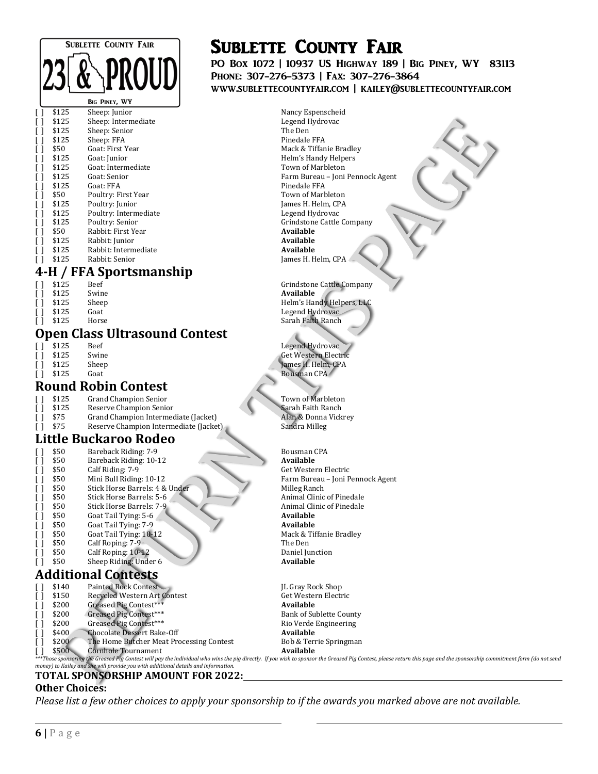# **SUBLETTE COUNTY FAIR**

#### **BIG PINEY,**

| Γl | \$125 | Sheep: Junior         | Nancy E.       |
|----|-------|-----------------------|----------------|
| Γl | \$125 | Sheep: Intermediate   | Legend l       |
| Γl | \$125 | Sheep: Senior         | The Den        |
| Γl | \$125 | Sheep: FFA            | Pinedale       |
| Γl | \$50  | Goat: First Year      | Mack & '       |
| Γl | \$125 | Goat: Junior          | Helm's F       |
| Γl | \$125 | Goat: Intermediate    | Town of        |
| Γl | \$125 | Goat: Senior          | Farm Bu        |
| Γl | \$125 | Goat: FFA             | Pinedale       |
| Γl | \$50  | Poultry: First Year   | Town of        |
| Γl | \$125 | Poultry: Junior       | James H        |
| Γl | \$125 | Poultry: Intermediate | Legend l       |
| Γl | \$125 | Poultry: Senior       | Grindsto       |
| Γl | \$50  | Rabbit: First Year    | <b>Availab</b> |
| Γl | \$125 | Rabbit: Junior        | <b>Availab</b> |
| Γl | \$125 | Rabbit: Intermediate  | <b>Availab</b> |
|    | \$125 | Rabbit: Senior        | Iames H        |

#### **4-H / FFA Sportsmanship**

| $\perp$ | \$125 | Beef  |
|---------|-------|-------|
| $\Box$  | \$125 | Swine |
| $\perp$ | \$125 | Sheep |
|         | ሐ4 ግሥ |       |

#### **Open Class Ultrasound Contest**

|        | \$125 | <b>Beef</b> |  |
|--------|-------|-------------|--|
| $\Box$ | \$125 | Swine       |  |
| Γl     | \$125 | Sheep       |  |
|        | \$125 | Goat        |  |

#### **Round Robin Contest**

| $\Box$ | \$125 | <b>Grand Champion Senior</b>           |
|--------|-------|----------------------------------------|
| $\Box$ | \$125 | Reserve Champion Senior                |
| $\Box$ | \$75  | Grand Champion Intermediate (Jacket)   |
| $\Box$ | \$75  | Reserve Champion Intermediate (Jacket) |

#### **Little Buckaroo Rodeo**

| [ ] | \$50 | Bareback Riding: 7-9           |
|-----|------|--------------------------------|
| Γl  | \$50 | Bareback Riding: 10-12         |
| []  | \$50 | Calf Riding: 7-9               |
| Γl  | \$50 | Mini Bull Riding: 10-12        |
| Γl  | \$50 | Stick Horse Barrels: 4 & Under |
| Γl  | \$50 | Stick Horse Barrels: 5-6       |
| Γl  | \$50 | Stick Horse Barrels: 7-9       |
| Γl  | \$50 | Goat Tail Tying: 5-6           |
| Γl  | \$50 | Goat Tail Tying: 7-9           |
| []  | \$50 | Goat Tail Tying: 10-12         |
| Γl  | \$50 | Calf Roping: 7-9               |
| ΙI  | \$50 | Calf Roping: 10-12             |
|     | \$50 | Sheen Riding: Under 6          |

#### **Additional Contests**

|                                                                                                                                                                                                                         | \$140 | Painted Rock Contest                     | <b>IL Gray Rock Shop</b>       |  |  |
|-------------------------------------------------------------------------------------------------------------------------------------------------------------------------------------------------------------------------|-------|------------------------------------------|--------------------------------|--|--|
|                                                                                                                                                                                                                         | \$150 | Recycled Western Art Contest             | Get Western Electric           |  |  |
|                                                                                                                                                                                                                         | \$200 | Greased Pig Contest***                   | Available                      |  |  |
|                                                                                                                                                                                                                         | \$200 | Greased Pig Contest***                   | <b>Bank of Sublette County</b> |  |  |
|                                                                                                                                                                                                                         | \$200 | Greased Pig Contest***                   | Rio Verde Engineering          |  |  |
|                                                                                                                                                                                                                         | \$400 | Chocolate Dessert Bake-Off               | Available                      |  |  |
|                                                                                                                                                                                                                         | \$200 | The Home Butcher Meat Processing Contest | Bob & Terrie Springman         |  |  |
|                                                                                                                                                                                                                         | \$500 | Cornhole Tournament                      | Available                      |  |  |
| ***Those sponsoring the Greased Pig Contest will pay the individual who wins the pig directly. If you wish to sponsor the Greased Pig Contest, please return this page and the sponsorship commitment form (do not send |       |                                          |                                |  |  |
| money) to Kailey and she will provide you with additional details and information.                                                                                                                                      |       |                                          |                                |  |  |

*money) to Kailey and she will provide you with additional details and information.* **TOTAL SPONSORSHIP AMOUNT FOR 2022:**

#### **Other Choices:**

*Please list a few other choices to apply your sponsorship to if the awards you marked above are not available.*

# Sublette County Fair

PO Box 1072 | 10937 US Highway 189 | Big Piney, WY 83113 Phone: 307-276-5373 | Fax: 307-276-3864 www.sublettecountyfair.com | kailey@sublettecountyfair.com

> Nancy Espenscheid Legend Hydrovac Pinedale FFA Mack & Tiffanie Bradley Helm's Handy Helpers Town of Marbleton Farm Bureau – Joni Pennock Agent Pinedale FFA Town of Marbleton James H. Helm, CPA Legend Hydrovac Grindstone Cattle Company  $A$ vailable  $A$ vailable  $A$ vailable James H. Helm, CPA

Grindstone Cattle Company  $A$ vailable Helm's Handy Helpers, LLC [ ] \$125 Goat Legend Hydrovac [ ] \$125 Horse Contract Contract Contract Contract Contract Contract Contract Contract Contract Contract Contract Contract Contract Contract Contract Contract Contract Contract Contract Contra Horse **Sarah Faith Ranch** 

> Legend Hydrovac Get Western Electric James H. Helm, CPA Bousman CPA

Town of Marbleton **Sarah Faith Ranch** Alan & Donna Vickrey Sandra Milleg

Bousman CPA  $A$ vailable Get Western Electric Farm Bureau – Joni Pennock Agent Milleg Ranch Animal Clinic of Pinedale Animal Clinic of Pinedale  $A$ vailable  $A$ vailable Mack & Tiffanie Bradley The Den Daniel Junction  $A$ vailable